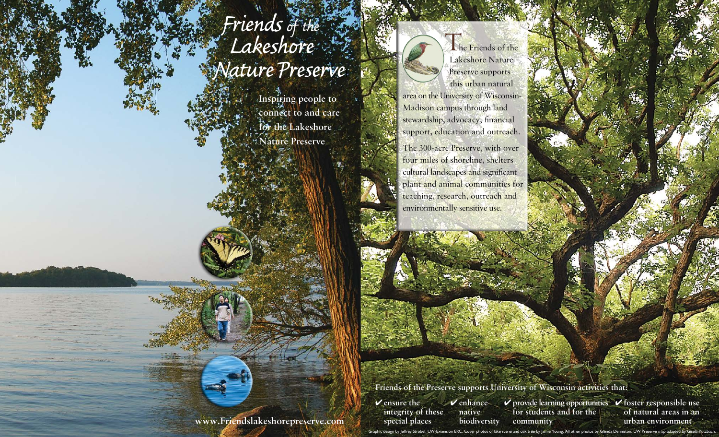## **Friends of the Lakeshore** *Nature Preserve*

**Inspiring people to connect to and care for the Lakeshore Nature Preserve**

The Friends of the Lakeshore Nature Preserve supports this urban natural area on the University of Wisconsin-Madison campus through land stewardship, advocacy, financial support, education and outreach.

The 300-acre Preserve, with over four miles of shoreline, shelters cultural landscapes and significant plant and animal communities for teaching, research, outreach and environmentally sensitive use.

**Friends of the Preserve supports University of Wisconsin activities that:**Î

4 **ensure the integrity of these special places** 4 **enhance native biodiversity**

4 **provide learning opportunities**  4 **foster responsible use for students and for the community**

**of natural areas in an urban environment**

**www.Friendslakeshorepreserve.com**

Graphic design by Jeffrey Strobel, UW-Extension ERC. Cover photos of lake scene and oak tree by Jamie Young. All other photos by Glenda Denniston. UW Preserve map adapted by Gisela Kutzbach.